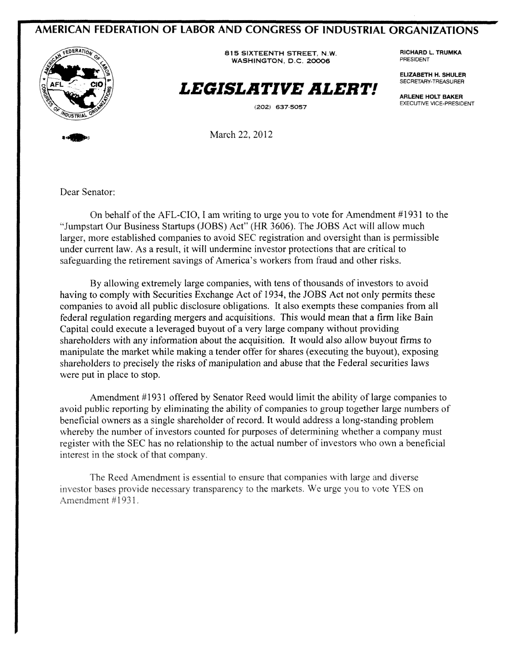## AMERICAN FEDERATION OF LABOR AND CONGRESS OF INDUSTRIAL ORGANIZATIONS



EDERATION ON **BIS SIXTEENTH STREET**, N.W. **RICHARD L. TRUMKA 815 SIXTEENTH STREET**, N.W. **RICHARD L. TRUMKA** WASHINGTON, D.C. 20006

## $\emph{LEGISLATIVE ALERTI}$

(202) 637-5057

**ELIZABETH H. SHULER** SECRETARY-TREASURER

**ARLENE HOLT BAKER** EXECUTIVE VICE-PRESIDENT



March 22, 2012

Dear Senator:

On behalf of the AFL-CIO, I am writing to urge you to vote for Amendment #1931 to the "Jumpstart Our Business Startups (JOBS) Act" (HR 3606). The JOBS Act will allow much larger, more established companies to avoid SEC registration and oversight than is permissible under current law. As a result, it will undermine investor protections that are critical to safeguarding the retirement savings of America's workers from fraud and other risks.

By allowing extremely large companies, with tens of thousands of investors to avoid having to comply with Securities Exchange Act of 1934, the JOBS Act not only permits these companies to avoid all public disclosure obligations. It also exempts these companies from all federal regulation regarding mergers and acquisitions. This would mean that a firm like Bain Capital could execute a leveraged buyout of a very large company without providing shareholders with any information about the acquisition. It would also allow buyout firms to manipulate the market while making a tender offer for shares (executing the buyout), exposing shareholders to precisely the risks of manipulation and abuse that the Federal securities laws were put in place to stop.

Amendment #1931 offered by Senator Reed would limit the ability of large companies to avoid public reporting by eliminating the ability of companies to group together large numbers of beneficial owners as a single shareholder of record. It would address a long-standing problem whereby the number of investors counted for purposes of determining whether a company must register with the SEC has no relationship to the actual number of investors who own a beneficial interest in the stock of that company.

The Reed Amendment is essential to ensure that companies with large and diverse investor bases provide necessary transparency to the markets. We urge you to vote YES on Amendment #1931.